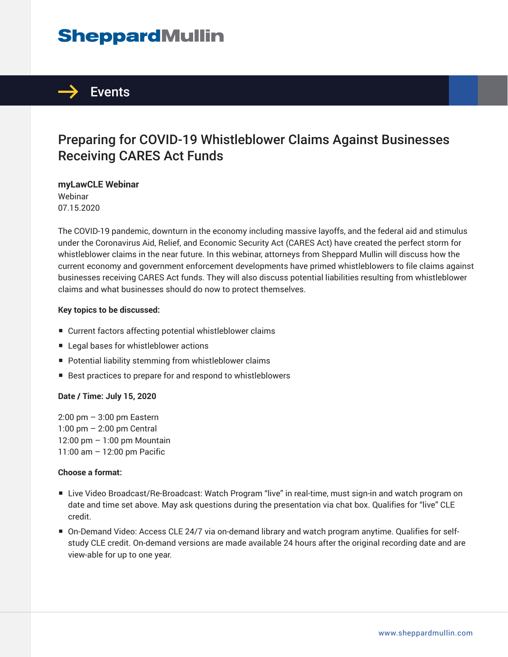# **SheppardMullin**



# Preparing for COVID-19 Whistleblower Claims Against Businesses Receiving CARES Act Funds

**myLawCLE Webinar** Webinar 07.15.2020

The COVID-19 pandemic, downturn in the economy including massive layoffs, and the federal aid and stimulus under the Coronavirus Aid, Relief, and Economic Security Act (CARES Act) have created the perfect storm for whistleblower claims in the near future. In this webinar, attorneys from Sheppard Mullin will discuss how the current economy and government enforcement developments have primed whistleblowers to file claims against businesses receiving CARES Act funds. They will also discuss potential liabilities resulting from whistleblower claims and what businesses should do now to protect themselves.

#### **Key topics to be discussed:**

- Current factors affecting potential whistleblower claims
- Legal bases for whistleblower actions
- Potential liability stemming from whistleblower claims
- Best practices to prepare for and respond to whistleblowers

#### **Date / Time: July 15, 2020**

2:00 pm – 3:00 pm Eastern 1:00 pm – 2:00 pm Central 12:00 pm – 1:00 pm Mountain 11:00 am – 12:00 pm Pacific

#### **Choose a format:**

- Live Video Broadcast/Re-Broadcast: Watch Program "live" in real-time, must sign-in and watch program on date and time set above. May ask questions during the presentation via chat box. Qualifies for "live" CLE credit.
- On-Demand Video: Access CLE 24/7 via on-demand library and watch program anytime. Qualifies for selfstudy CLE credit. On-demand versions are made available 24 hours after the original recording date and are view-able for up to one year.